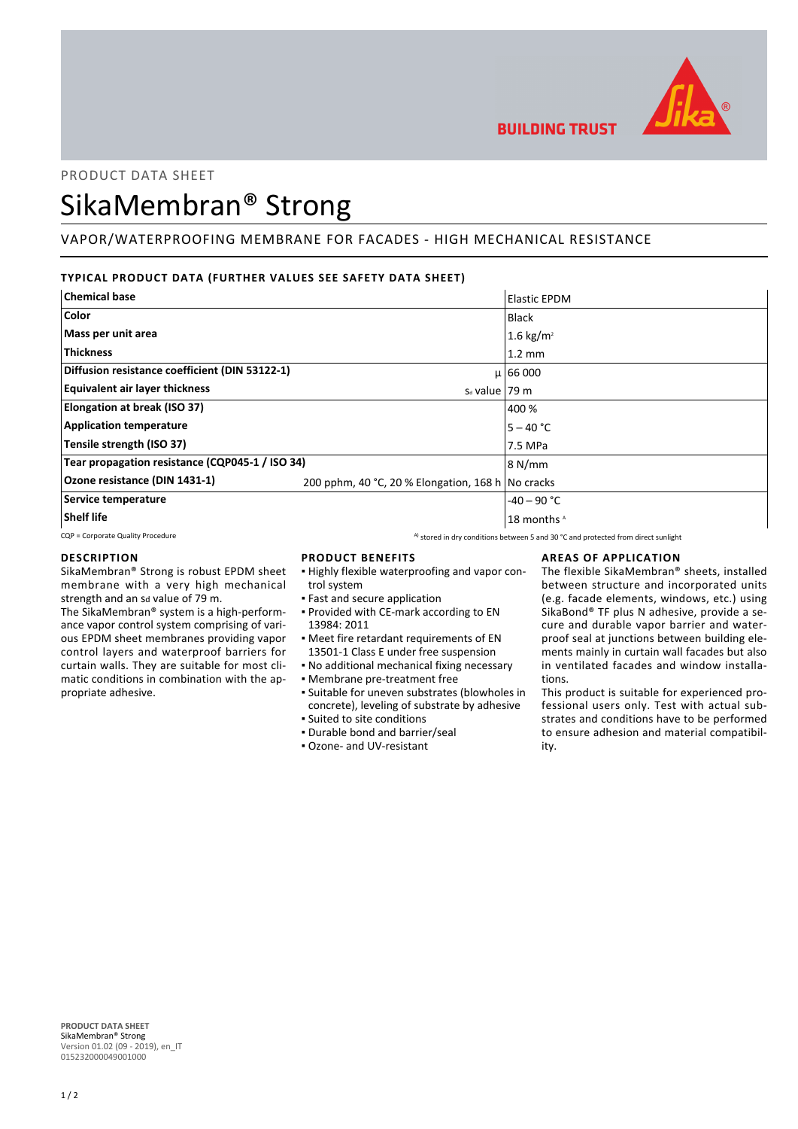

# PRODUCT DATA SHEET

# SikaMembran® Strong

# VAPOR/WATERPROOFING MEMBRANE FOR FACADES - HIGH MECHANICAL RESISTANCE

# **TYPICAL PRODUCT DATA (FURTHER VALUES SEE SAFETY DATA SHEET)**

| <b>Chemical base</b>                            |                                                   | <b>Elastic EPDM</b>    |
|-------------------------------------------------|---------------------------------------------------|------------------------|
| Color                                           |                                                   | Black                  |
| Mass per unit area                              |                                                   | 1.6 kg/m <sup>2</sup>  |
| <b>Thickness</b>                                |                                                   | $1.2 \text{ mm}$       |
| Diffusion resistance coefficient (DIN 53122-1)  |                                                   | $\mu$   66 000         |
| <b>Equivalent air layer thickness</b>           | $s_d$ value   79 m                                |                        |
| Elongation at break (ISO 37)                    |                                                   | 400 %                  |
| <b>Application temperature</b>                  |                                                   | $5 - 40 °C$            |
| Tensile strength (ISO 37)                       |                                                   | 7.5 MPa                |
| Tear propagation resistance (CQP045-1 / ISO 34) |                                                   | 8 N/mm                 |
| Ozone resistance (DIN 1431-1)                   | 200 pphm, 40 °C, 20 % Elongation, 168 h No cracks |                        |
| Service temperature                             |                                                   | $-40 - 90$ °C          |
| <b>Shelf life</b>                               |                                                   | 18 months <sup>A</sup> |

CQP = Corporate Quality Procedure A) stored in dry conditions between 5 and 30 °C and protected from direct sunlight

# **DESCRIPTION**

SikaMembran® Strong is robust EPDM sheet membrane with a very high mechanical strength and an sd value of 79 m.

The SikaMembran® system is a high-performance vapor control system comprising of various EPDM sheet membranes providing vapor control layers and waterproof barriers for curtain walls. They are suitable for most climatic conditions in combination with the appropriate adhesive.

# **PRODUCT BENEFITS**

- Highly flexible waterproofing and vapor con-▪ trol system
- **East and secure application**
- Provided with CE-mark according to EN 13984: 2011
- Meet fire retardant requirements of EN ▪
- 13501-1 Class E under free suspension
- No additional mechanical fixing necessary
- Membrane pre-treatment free
- Suitable for uneven substrates (blowholes in concrete), leveling of substrate by adhesive
- Suited to site conditions
- Durable bond and barrier/seal
- Ozone- and UV-resistant

# **AREAS OF APPLICATION**

The flexible SikaMembran® sheets, installed between structure and incorporated units (e.g. facade elements, windows, etc.) using SikaBond® TF plus N adhesive, provide a secure and durable vapor barrier and waterproof seal at junctions between building elements mainly in curtain wall facades but also in ventilated facades and window installations.

This product is suitable for experienced professional users only. Test with actual substrates and conditions have to be performed to ensure adhesion and material compatibility.

**PRODUCT DATA SHEET** SikaMembran® Strong Version 01.02 (09 - 2019), en\_IT 015232000049001000